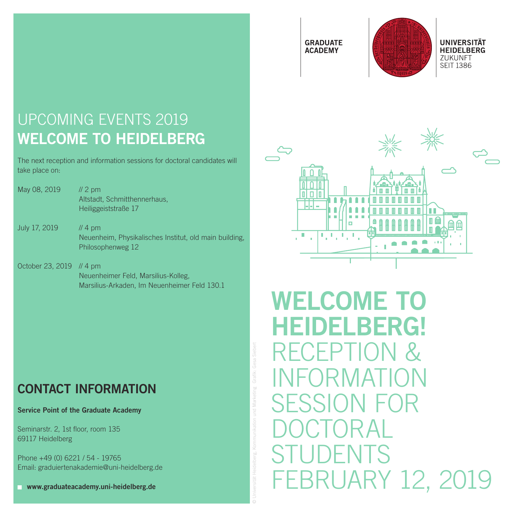**GRADUATE ACADEMY** 



# UPCOMING EVENTS 2019 WELCOME TO HEIDELBERG

The next reception and information sessions for doctoral candidates will take place on:

- May 08, 2019 // 2 pm Altstadt, Schmitthennerhaus, Heiliggeiststraße 17
- July 17, 2019 // 4 pm Neuenheim, Physikalisches Institut, old main building, Philosophenweg 12
- October 23, 2019 // 4 pm Neuenheimer Feld, Marsilius-Kolleg, Marsilius-Arkaden, Im Neuenheimer Feld 130.1

### CONTACT INFORMATION

Service Point of the Graduate Academy

Seminarstr. 2, 1st floor, room 135 69117 Heidelberg

Phone +49 (0) 6221 / 54 - 19765 Email: graduiertenakademie@uni-heidelberg.de

www.graduateacademy.uni-heidelberg.de

© Universität Heidelberg, Kommunikation und Marketing . Grafi k: Gesa Siebert



WELCOME TO HEIDELBERG! RECEPTION & INFORMATION SESSION FOR DOCTORAL STUDENTS FEBRUARY 12, 2019